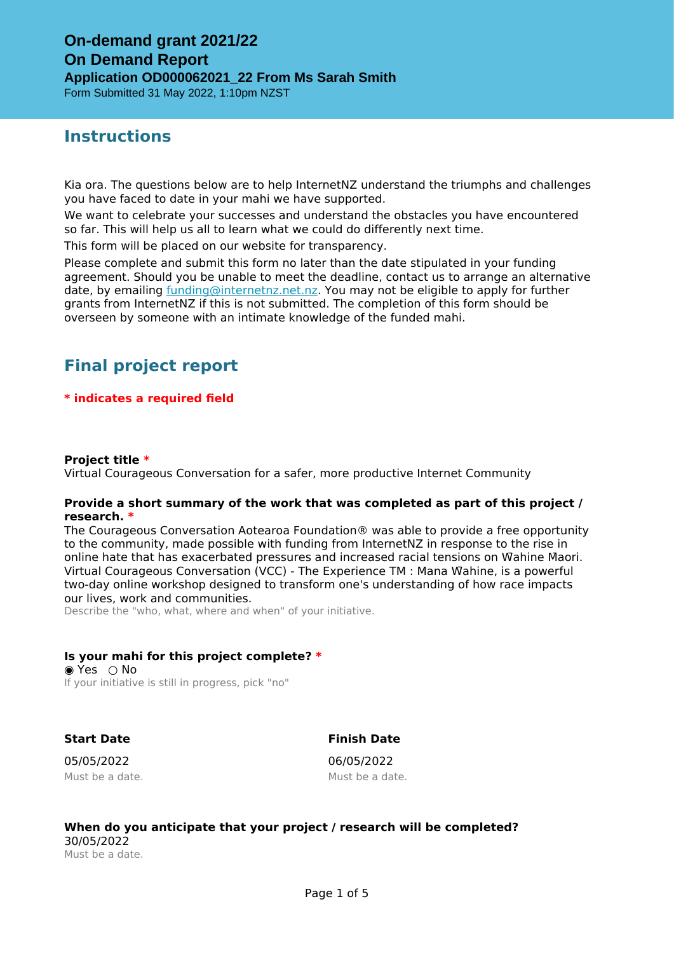# **Instructions**

Kia ora. The questions below are to help InternetNZ understand the triumphs and challenges you have faced to date in your mahi we have supported.

We want to celebrate your successes and understand the obstacles you have encountered so far. This will help us all to learn what we could do differently next time.

This form will be placed on our website for transparency.

Please complete and submit this form no later than the date stipulated in your funding agreement. Should you be unable to meet the deadline, contact us to arrange an alternative date, by emailing [funding@internetnz.net.nz.](mailto:funding@internetnz.net.nz) You may not be eligible to apply for further grants from InternetNZ if this is not submitted. The completion of this form should be overseen by someone with an intimate knowledge of the funded mahi.

# **Final project report**

## **\* indicates a required field**

### **Project title \***

Virtual Courageous Conversation for a safer, more productive Internet Community

### **Provide a short summary of the work that was completed as part of this project / research. \***

The Courageous Conversation Aotearoa Foundation® was able to provide a free opportunity to the community, made possible with funding from InternetNZ in response to the rise in online hate that has exacerbated pressures and increased racial tensions on W̄ahine M̄aori. Virtual Courageous Conversation (VCC) - The Experience TM : Mana W̄ahine, is a powerful two-day online workshop designed to transform one's understanding of how race impacts our lives, work and communities.

Describe the "who, what, where and when" of your initiative.

## **Is your mahi for this project complete? \***

 $\odot$  Yes  $\odot$  No If your initiative is still in progress, pick "no"

**Start Date**

## **Finish Date**

05/05/2022 Must be a date. 06/05/2022 Must be a date.

## **When do you anticipate that your project / research will be completed?** 30/05/2022

Must be a date.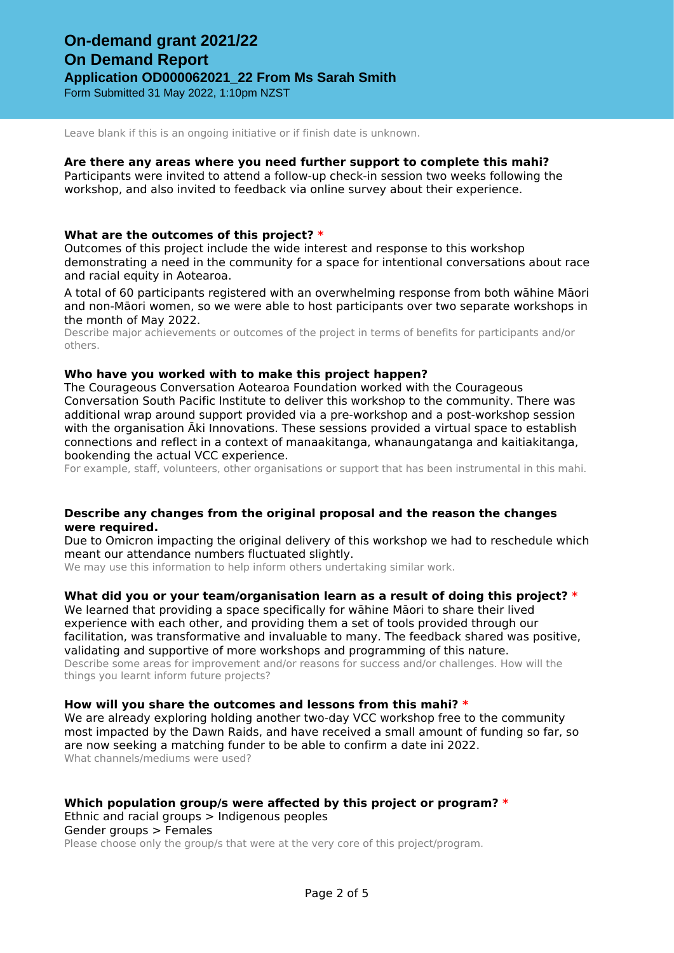Leave blank if this is an ongoing initiative or if finish date is unknown.

#### **Are there any areas where you need further support to complete this mahi?**

Participants were invited to attend a follow-up check-in session two weeks following the workshop, and also invited to feedback via online survey about their experience.

### **What are the outcomes of this project? \***

Outcomes of this project include the wide interest and response to this workshop demonstrating a need in the community for a space for intentional conversations about race and racial equity in Aotearoa.

A total of 60 participants registered with an overwhelming response from both wāhine Māori and non-Māori women, so we were able to host participants over two separate workshops in the month of May 2022.

Describe major achievements or outcomes of the project in terms of benefits for participants and/or others.

### **Who have you worked with to make this project happen?**

The Courageous Conversation Aotearoa Foundation worked with the Courageous Conversation South Pacific Institute to deliver this workshop to the community. There was additional wrap around support provided via a pre-workshop and a post-workshop session with the organisation Āki Innovations. These sessions provided a virtual space to establish connections and reflect in a context of manaakitanga, whanaungatanga and kaitiakitanga, bookending the actual VCC experience.

For example, staff, volunteers, other organisations or support that has been instrumental in this mahi.

### **Describe any changes from the original proposal and the reason the changes were required.**

Due to Omicron impacting the original delivery of this workshop we had to reschedule which meant our attendance numbers fluctuated slightly.

We may use this information to help inform others undertaking similar work.

## **What did you or your team/organisation learn as a result of doing this project? \***

We learned that providing a space specifically for wāhine Māori to share their lived experience with each other, and providing them a set of tools provided through our facilitation, was transformative and invaluable to many. The feedback shared was positive, validating and supportive of more workshops and programming of this nature.

Describe some areas for improvement and/or reasons for success and/or challenges. How will the things you learnt inform future projects?

#### **How will you share the outcomes and lessons from this mahi? \***

We are already exploring holding another two-day VCC workshop free to the community most impacted by the Dawn Raids, and have received a small amount of funding so far, so are now seeking a matching funder to be able to confirm a date ini 2022. What channels/mediums were used?

## **Which population group/s were affected by this project or program? \***

Ethnic and racial groups > Indigenous peoples

Gender groups > Females

Please choose only the group/s that were at the very core of this project/program.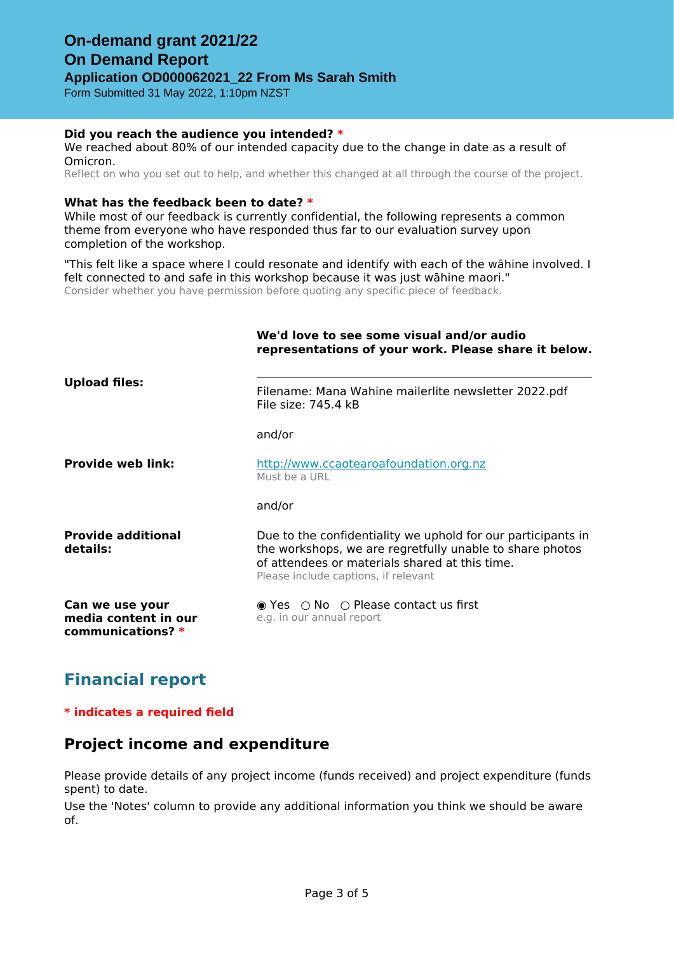## **Did you reach the audience you intended? \***

We reached about 80% of our intended capacity due to the change in date as a result of Omicron.

Reflect on who you set out to help, and whether this changed at all through the course of the project.

### **What has the feedback been to date? \***

While most of our feedback is currently confidential, the following represents a common theme from everyone who have responded thus far to our evaluation survey upon completion of the workshop.

"This felt like a space where I could resonate and identify with each of the wāhine involved. I felt connected to and safe in this workshop because it was just wāhine maori." Consider whether you have permission before quoting any specific piece of feedback.

|                                                                | We'd love to see some visual and/or audio<br>representations of your work. Please share it below.                                                                                                                  |  |  |
|----------------------------------------------------------------|--------------------------------------------------------------------------------------------------------------------------------------------------------------------------------------------------------------------|--|--|
| <b>Upload files:</b>                                           | Filename: Mana Wahine mailerlite newsletter 2022.pdf<br>File size: 745.4 kB                                                                                                                                        |  |  |
|                                                                | and/or                                                                                                                                                                                                             |  |  |
| <b>Provide web link:</b>                                       | http://www.ccaotearoafoundation.org.nz<br>Must be a URL                                                                                                                                                            |  |  |
|                                                                | and/or                                                                                                                                                                                                             |  |  |
| <b>Provide additional</b><br>details:                          | Due to the confidentiality we uphold for our participants in<br>the workshops, we are regretfully unable to share photos<br>of attendees or materials shared at this time.<br>Please include captions, if relevant |  |  |
| Can we use your<br>media content in our<br>communications? $*$ | $\bullet$ Yes $\circ$ No $\circ$ Please contact us first<br>e.g. in our annual report                                                                                                                              |  |  |

# **Financial report**

## **\* indicates a required field**

## **Project income and expenditure**

Please provide details of any project income (funds received) and project expenditure (funds spent) to date.

Use the 'Notes' column to provide any additional information you think we should be aware of.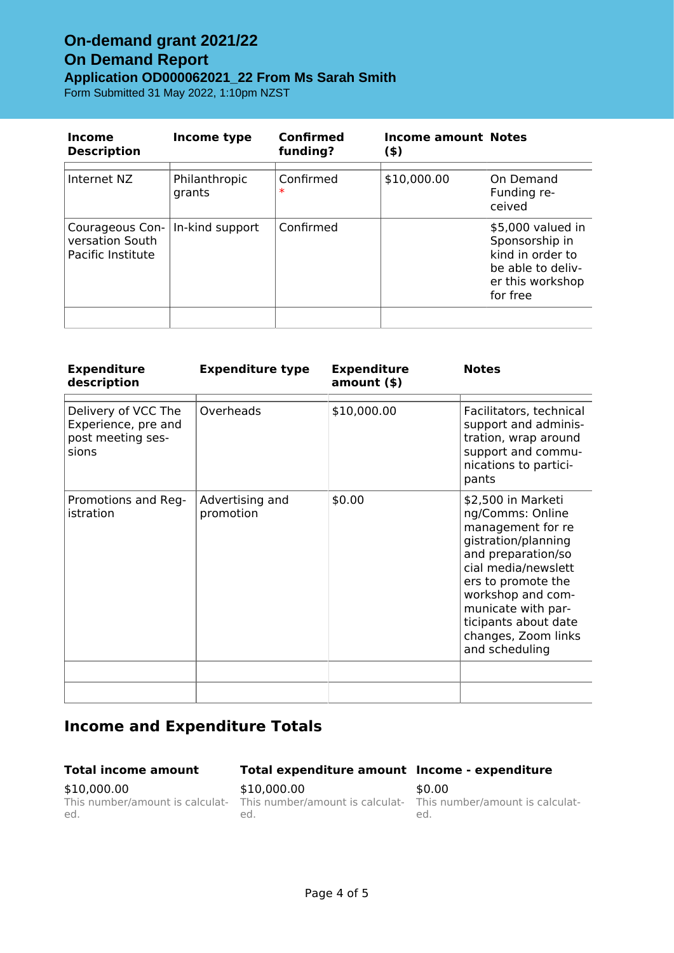## **On-demand grant 2021/22 On Demand Report Application OD000062021\_22 From Ms Sarah Smith** Form Submitted 31 May 2022, 1:10pm NZST

| Income<br><b>Description</b>                            | Income type             | Confirmed<br>funding? | <b>Income amount Notes</b><br>$($ \$) |                                                                                                              |
|---------------------------------------------------------|-------------------------|-----------------------|---------------------------------------|--------------------------------------------------------------------------------------------------------------|
| Internet NZ                                             | Philanthropic<br>grants | Confirmed<br>$\ast$   | \$10,000.00                           | On Demand<br>Funding re-<br>ceived                                                                           |
| Courageous Con-<br>versation South<br>Pacific Institute | In-kind support         | Confirmed             |                                       | \$5,000 valued in<br>Sponsorship in<br>kind in order to<br>be able to deliv-<br>er this workshop<br>for free |
|                                                         |                         |                       |                                       |                                                                                                              |

| <b>Expenditure</b><br>description                                        | <b>Expenditure type</b>      | <b>Expenditure</b><br>amount() | <b>Notes</b>                                                                                                                                                                                                                                                      |
|--------------------------------------------------------------------------|------------------------------|--------------------------------|-------------------------------------------------------------------------------------------------------------------------------------------------------------------------------------------------------------------------------------------------------------------|
| Delivery of VCC The<br>Experience, pre and<br>post meeting ses-<br>sions | Overheads                    | \$10,000.00                    | Facilitators, technical<br>support and adminis-<br>tration, wrap around<br>support and commu-<br>nications to partici-<br>pants                                                                                                                                   |
| Promotions and Reg-<br>istration                                         | Advertising and<br>promotion | \$0.00                         | \$2,500 in Marketi<br>ng/Comms: Online<br>management for re<br>gistration/planning<br>and preparation/so<br>cial media/newslett<br>ers to promote the<br>workshop and com-<br>municate with par-<br>ticipants about date<br>changes, Zoom links<br>and scheduling |
|                                                                          |                              |                                |                                                                                                                                                                                                                                                                   |

# **Income and Expenditure Totals**

## **Total income amount**

## **Total expenditure amount Income - expenditure**

\$10,000.00 This number/amount is calculated.

\$10,000.00 This number/amount is calculat-This number/amount is calculated.

\$0.00 ed.